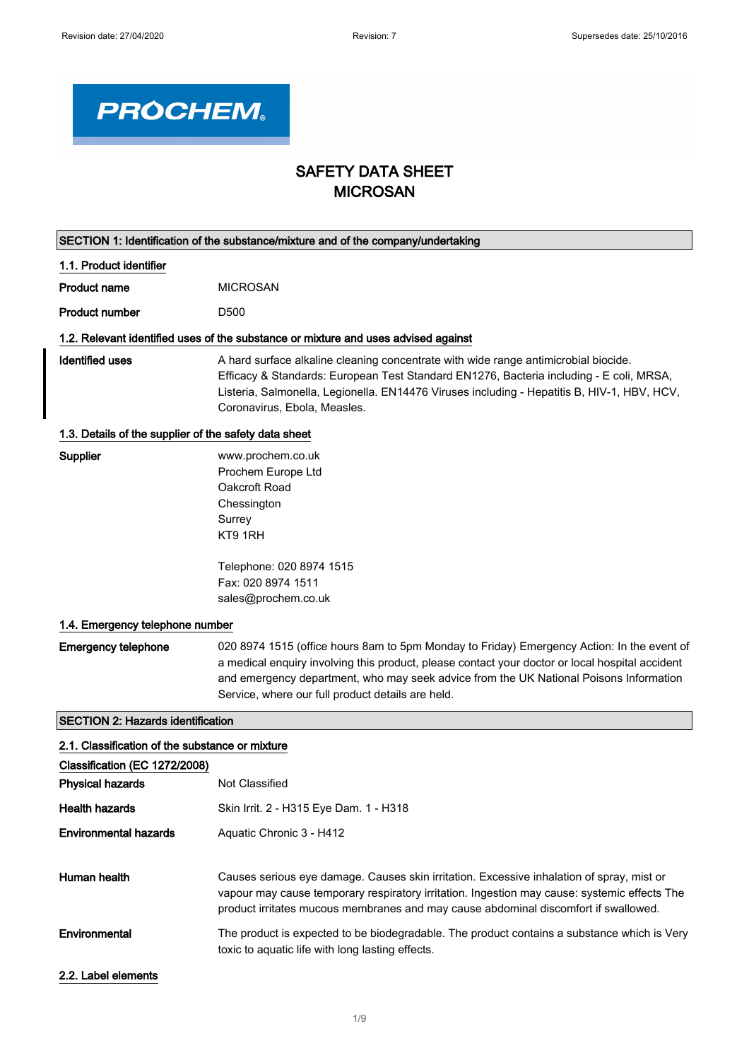٦



# SAFETY DATA SHEET MICROSAN

| SECTION 1: Identification of the substance/mixture and of the company/undertaking |                                                                                                                                                                                                                                                                                                                                              |  |  |
|-----------------------------------------------------------------------------------|----------------------------------------------------------------------------------------------------------------------------------------------------------------------------------------------------------------------------------------------------------------------------------------------------------------------------------------------|--|--|
| 1.1. Product identifier                                                           |                                                                                                                                                                                                                                                                                                                                              |  |  |
| <b>Product name</b>                                                               | <b>MICROSAN</b>                                                                                                                                                                                                                                                                                                                              |  |  |
| <b>Product number</b>                                                             | D <sub>500</sub>                                                                                                                                                                                                                                                                                                                             |  |  |
|                                                                                   | 1.2. Relevant identified uses of the substance or mixture and uses advised against                                                                                                                                                                                                                                                           |  |  |
| <b>Identified uses</b>                                                            | A hard surface alkaline cleaning concentrate with wide range antimicrobial biocide.<br>Efficacy & Standards: European Test Standard EN1276, Bacteria including - E coli, MRSA,<br>Listeria, Salmonella, Legionella. EN14476 Viruses including - Hepatitis B, HIV-1, HBV, HCV,<br>Coronavirus, Ebola, Measles.                                |  |  |
| 1.3. Details of the supplier of the safety data sheet                             |                                                                                                                                                                                                                                                                                                                                              |  |  |
| Supplier                                                                          | www.prochem.co.uk<br>Prochem Europe Ltd<br>Oakcroft Road<br>Chessington<br>Surrey<br>KT9 1RH                                                                                                                                                                                                                                                 |  |  |
|                                                                                   | Telephone: 020 8974 1515<br>Fax: 020 8974 1511<br>sales@prochem.co.uk                                                                                                                                                                                                                                                                        |  |  |
| 1.4. Emergency telephone number                                                   |                                                                                                                                                                                                                                                                                                                                              |  |  |
| <b>Emergency telephone</b>                                                        | 020 8974 1515 (office hours 8am to 5pm Monday to Friday) Emergency Action: In the event of<br>a medical enquiry involving this product, please contact your doctor or local hospital accident<br>and emergency department, who may seek advice from the UK National Poisons Information<br>Service, where our full product details are held. |  |  |
| <b>SECTION 2: Hazards identification</b>                                          |                                                                                                                                                                                                                                                                                                                                              |  |  |
| 2.1. Classification of the substance or mixture                                   |                                                                                                                                                                                                                                                                                                                                              |  |  |
| Classification (EC 1272/2008)                                                     |                                                                                                                                                                                                                                                                                                                                              |  |  |
| <b>Physical hazards</b>                                                           | Not Classified                                                                                                                                                                                                                                                                                                                               |  |  |
| <b>Health hazards</b>                                                             | Skin Irrit. 2 - H315 Eye Dam. 1 - H318                                                                                                                                                                                                                                                                                                       |  |  |
| <b>Environmental hazards</b>                                                      | Aquatic Chronic 3 - H412                                                                                                                                                                                                                                                                                                                     |  |  |
| Human health                                                                      | Causes serious eye damage. Causes skin irritation. Excessive inhalation of spray, mist or<br>vapour may cause temporary respiratory irritation. Ingestion may cause: systemic effects The<br>product irritates mucous membranes and may cause abdominal discomfort if swallowed.                                                             |  |  |
| Environmental                                                                     | The product is expected to be biodegradable. The product contains a substance which is Very<br>toxic to aquatic life with long lasting effects.                                                                                                                                                                                              |  |  |
| 2.2. Label elements                                                               |                                                                                                                                                                                                                                                                                                                                              |  |  |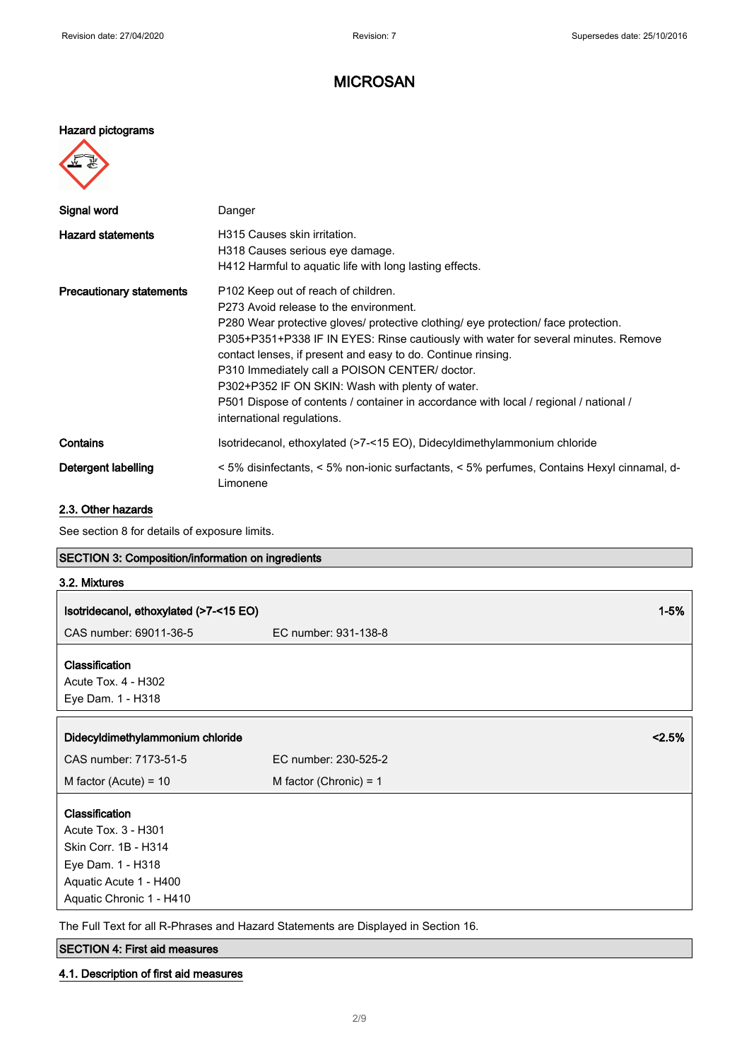### Hazard pictograms



| Signal word                     | Danger                                                                                                                                                                                                                                                                                                                                                                                                                                                                                                                                                             |
|---------------------------------|--------------------------------------------------------------------------------------------------------------------------------------------------------------------------------------------------------------------------------------------------------------------------------------------------------------------------------------------------------------------------------------------------------------------------------------------------------------------------------------------------------------------------------------------------------------------|
| <b>Hazard statements</b>        | H315 Causes skin irritation.<br>H318 Causes serious eye damage.<br>H412 Harmful to aquatic life with long lasting effects.                                                                                                                                                                                                                                                                                                                                                                                                                                         |
| <b>Precautionary statements</b> | P <sub>102</sub> Keep out of reach of children.<br>P273 Avoid release to the environment.<br>P280 Wear protective gloves/ protective clothing/ eye protection/ face protection.<br>P305+P351+P338 IF IN EYES: Rinse cautiously with water for several minutes. Remove<br>contact lenses, if present and easy to do. Continue rinsing.<br>P310 Immediately call a POISON CENTER/ doctor.<br>P302+P352 IF ON SKIN: Wash with plenty of water.<br>P501 Dispose of contents / container in accordance with local / regional / national /<br>international regulations. |
| Contains                        | Isotridecanol, ethoxylated (>7-<15 EO), Didecyldimethylammonium chloride                                                                                                                                                                                                                                                                                                                                                                                                                                                                                           |
| Detergent labelling             | < 5% disinfectants, < 5% non-ionic surfactants, < 5% perfumes, Contains Hexyl cinnamal, d-<br>Limonene                                                                                                                                                                                                                                                                                                                                                                                                                                                             |

### 2.3. Other hazards

See section 8 for details of exposure limits.

| <b>SECTION 3: Composition/information on ingredients</b> |                          |          |
|----------------------------------------------------------|--------------------------|----------|
| 3.2. Mixtures                                            |                          |          |
| Isotridecanol, ethoxylated (>7-<15 EO)                   |                          | $1 - 5%$ |
| CAS number: 69011-36-5                                   | EC number: 931-138-8     |          |
|                                                          |                          |          |
| Classification                                           |                          |          |
| Acute Tox. 4 - H302                                      |                          |          |
| Eye Dam. 1 - H318                                        |                          |          |
|                                                          |                          |          |
| Didecyldimethylammonium chloride                         |                          | 2.5%     |
| CAS number: 7173-51-5                                    | EC number: 230-525-2     |          |
| M factor (Acute) = $10$                                  | M factor (Chronic) = $1$ |          |
| Classification                                           |                          |          |
| Acute Tox. 3 - H301                                      |                          |          |
| Skin Corr. 1B - H314                                     |                          |          |
| Eye Dam. 1 - H318                                        |                          |          |
| Aquatic Acute 1 - H400                                   |                          |          |
| Aquatic Chronic 1 - H410                                 |                          |          |

The Full Text for all R-Phrases and Hazard Statements are Displayed in Section 16.

# SECTION 4: First aid measures

4.1. Description of first aid measures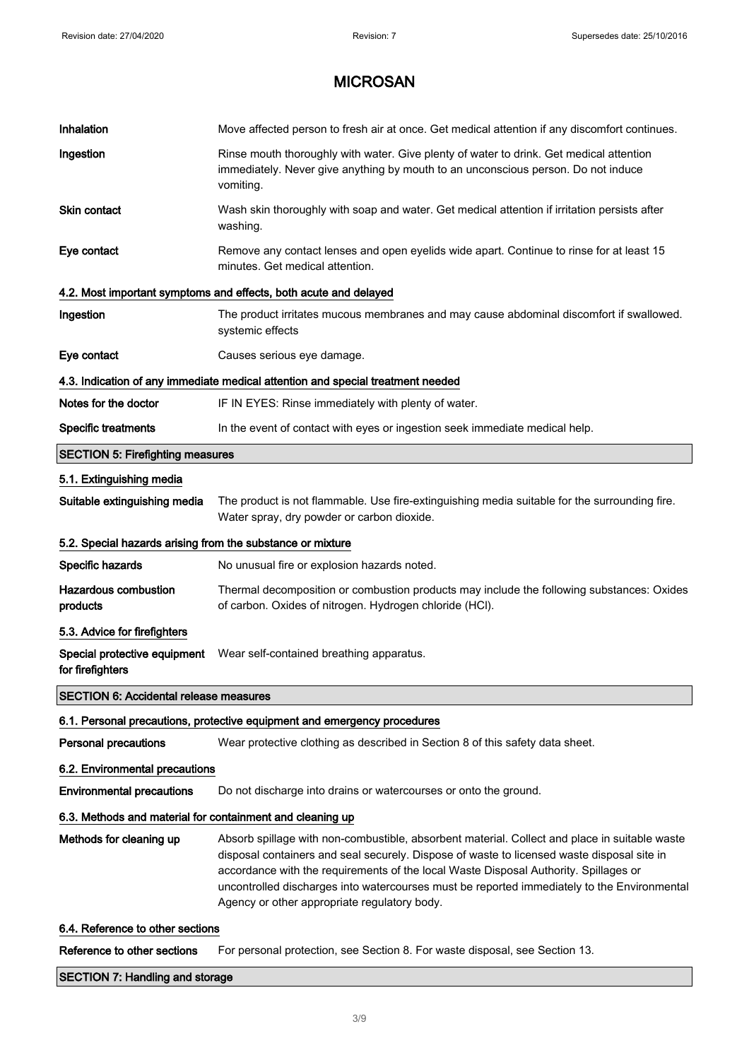| Inhalation                                                 | Move affected person to fresh air at once. Get medical attention if any discomfort continues.                                                                                                                                                                                                                                                                                                                                      |  |
|------------------------------------------------------------|------------------------------------------------------------------------------------------------------------------------------------------------------------------------------------------------------------------------------------------------------------------------------------------------------------------------------------------------------------------------------------------------------------------------------------|--|
|                                                            |                                                                                                                                                                                                                                                                                                                                                                                                                                    |  |
| Ingestion                                                  | Rinse mouth thoroughly with water. Give plenty of water to drink. Get medical attention<br>immediately. Never give anything by mouth to an unconscious person. Do not induce<br>vomiting.                                                                                                                                                                                                                                          |  |
| <b>Skin contact</b>                                        | Wash skin thoroughly with soap and water. Get medical attention if irritation persists after<br>washing.                                                                                                                                                                                                                                                                                                                           |  |
| Eye contact                                                | Remove any contact lenses and open eyelids wide apart. Continue to rinse for at least 15<br>minutes. Get medical attention.                                                                                                                                                                                                                                                                                                        |  |
|                                                            | 4.2. Most important symptoms and effects, both acute and delayed                                                                                                                                                                                                                                                                                                                                                                   |  |
| Ingestion                                                  | The product irritates mucous membranes and may cause abdominal discomfort if swallowed.<br>systemic effects                                                                                                                                                                                                                                                                                                                        |  |
| Eye contact                                                | Causes serious eye damage.                                                                                                                                                                                                                                                                                                                                                                                                         |  |
|                                                            | 4.3. Indication of any immediate medical attention and special treatment needed                                                                                                                                                                                                                                                                                                                                                    |  |
| Notes for the doctor                                       | IF IN EYES: Rinse immediately with plenty of water.                                                                                                                                                                                                                                                                                                                                                                                |  |
| <b>Specific treatments</b>                                 | In the event of contact with eyes or ingestion seek immediate medical help.                                                                                                                                                                                                                                                                                                                                                        |  |
| <b>SECTION 5: Firefighting measures</b>                    |                                                                                                                                                                                                                                                                                                                                                                                                                                    |  |
| 5.1. Extinguishing media                                   |                                                                                                                                                                                                                                                                                                                                                                                                                                    |  |
| Suitable extinguishing media                               | The product is not flammable. Use fire-extinguishing media suitable for the surrounding fire.<br>Water spray, dry powder or carbon dioxide.                                                                                                                                                                                                                                                                                        |  |
| 5.2. Special hazards arising from the substance or mixture |                                                                                                                                                                                                                                                                                                                                                                                                                                    |  |
| Specific hazards                                           | No unusual fire or explosion hazards noted.                                                                                                                                                                                                                                                                                                                                                                                        |  |
| <b>Hazardous combustion</b><br>products                    | Thermal decomposition or combustion products may include the following substances: Oxides<br>of carbon. Oxides of nitrogen. Hydrogen chloride (HCl).                                                                                                                                                                                                                                                                               |  |
| 5.3. Advice for firefighters                               |                                                                                                                                                                                                                                                                                                                                                                                                                                    |  |
| Special protective equipment<br>for firefighters           | Wear self-contained breathing apparatus.                                                                                                                                                                                                                                                                                                                                                                                           |  |
| <b>SECTION 6: Accidental release measures</b>              |                                                                                                                                                                                                                                                                                                                                                                                                                                    |  |
|                                                            | 6.1. Personal precautions, protective equipment and emergency procedures                                                                                                                                                                                                                                                                                                                                                           |  |
| <b>Personal precautions</b>                                | Wear protective clothing as described in Section 8 of this safety data sheet.                                                                                                                                                                                                                                                                                                                                                      |  |
| 6.2. Environmental precautions                             |                                                                                                                                                                                                                                                                                                                                                                                                                                    |  |
| <b>Environmental precautions</b>                           | Do not discharge into drains or watercourses or onto the ground.                                                                                                                                                                                                                                                                                                                                                                   |  |
| 6.3. Methods and material for containment and cleaning up  |                                                                                                                                                                                                                                                                                                                                                                                                                                    |  |
| Methods for cleaning up                                    | Absorb spillage with non-combustible, absorbent material. Collect and place in suitable waste<br>disposal containers and seal securely. Dispose of waste to licensed waste disposal site in<br>accordance with the requirements of the local Waste Disposal Authority. Spillages or<br>uncontrolled discharges into watercourses must be reported immediately to the Environmental<br>Agency or other appropriate regulatory body. |  |
| 6.4. Reference to other sections                           |                                                                                                                                                                                                                                                                                                                                                                                                                                    |  |
| Reference to other sections                                | For personal protection, see Section 8. For waste disposal, see Section 13.                                                                                                                                                                                                                                                                                                                                                        |  |

### SECTION 7: Handling and storage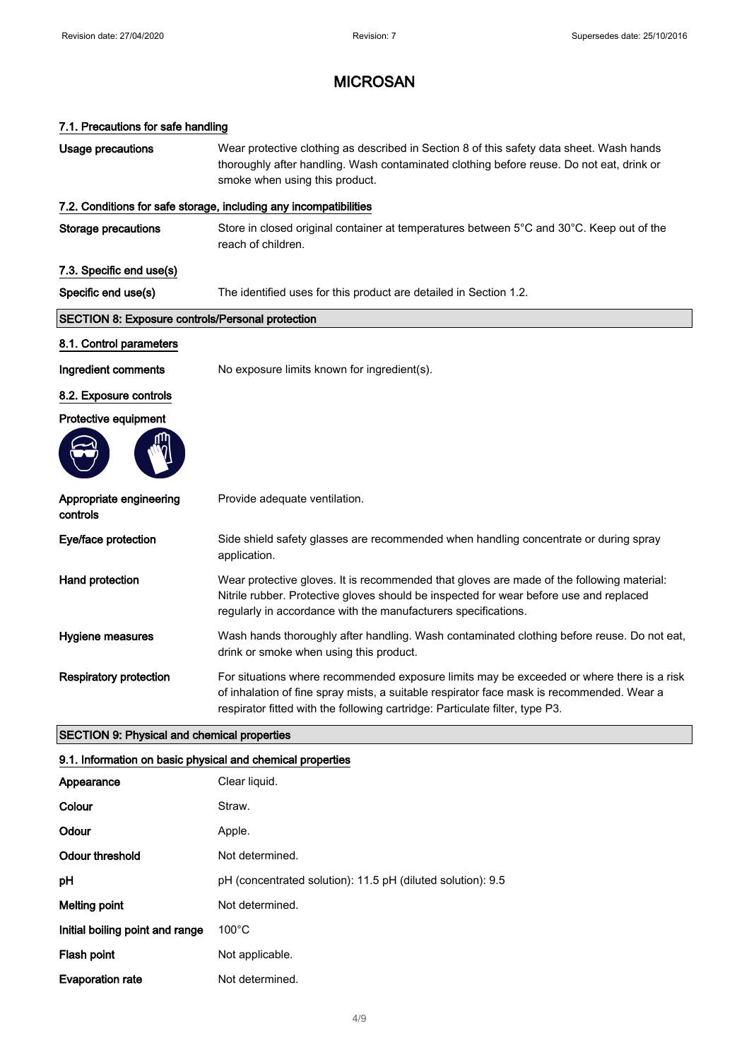# 7.1. Precautions for safe handling Usage precautions Wear protective clothing as described in Section 8 of this safety data sheet. Wash hands thoroughly after handling. Wash contaminated clothing before reuse. Do not eat, drink or smoke when using this product. 7.2. Conditions for safe storage, including any incompatibilities Storage precautions Store in closed original container at temperatures between 5°C and 30°C. Keep out of the reach of children. 7.3. Specific end use(s) Specific end use(s) The identified uses for this product are detailed in Section 1.2. SECTION 8: Exposure controls/Personal protection 8.1. Control parameters Ingredient comments No exposure limits known for ingredient(s). 8.2. Exposure controls Protective equipment Appropriate engineering controls Provide adequate ventilation. Eye/face protection Side shield safety glasses are recommended when handling concentrate or during spray application. Hand protection **Wear protective gloves.** It is recommended that gloves are made of the following material: Nitrile rubber. Protective gloves should be inspected for wear before use and replaced regularly in accordance with the manufacturers specifications. Hygiene measures Wash hands thoroughly after handling. Wash contaminated clothing before reuse. Do not eat, drink or smoke when using this product. Respiratory protection For situations where recommended exposure limits may be exceeded or where there is a risk of inhalation of fine spray mists, a suitable respirator face mask is recommended. Wear a respirator fitted with the following cartridge: Particulate filter, type P3. SECTION 9: Physical and chemical properties

#### 9.1. Information on basic physical and chemical properties

| Appearance                      | Clear liquid.                                               |
|---------------------------------|-------------------------------------------------------------|
| Colour                          | Straw.                                                      |
| Odour                           | Apple.                                                      |
| Odour threshold                 | Not determined.                                             |
| рH                              | pH (concentrated solution): 11.5 pH (diluted solution): 9.5 |
| Melting point                   | Not determined.                                             |
| Initial boiling point and range | $100^{\circ}$ C                                             |
| Flash point                     | Not applicable.                                             |
| <b>Evaporation rate</b>         | Not determined.                                             |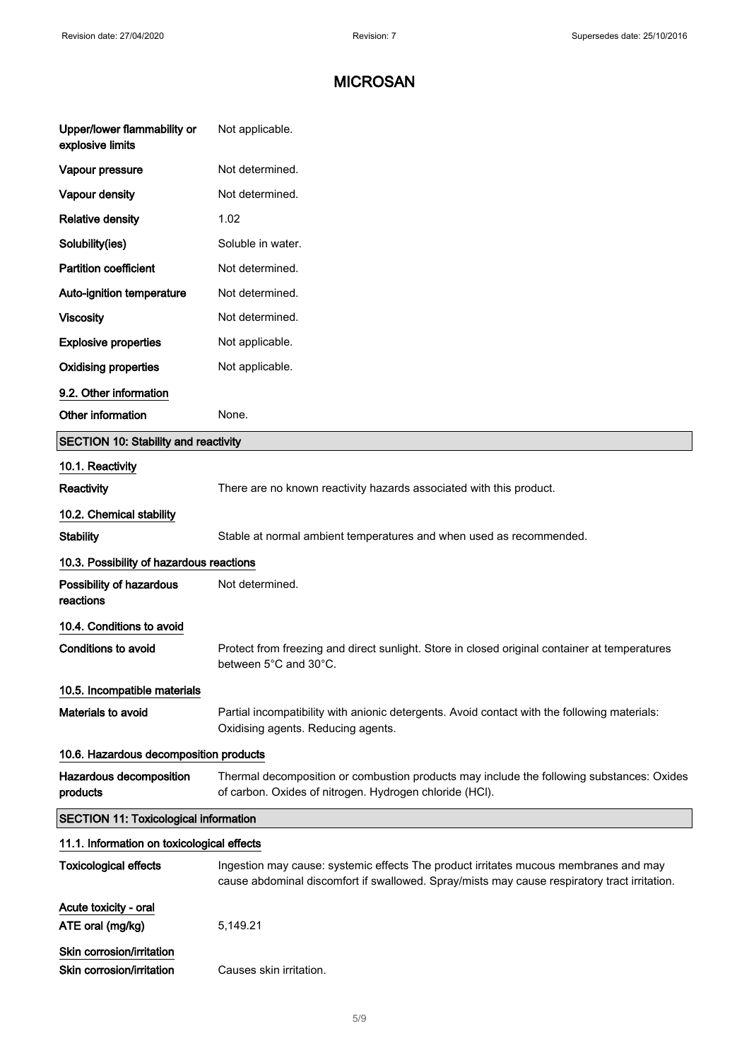| Upper/lower flammability or<br>explosive limits | Not applicable.                                                                                                                                      |
|-------------------------------------------------|------------------------------------------------------------------------------------------------------------------------------------------------------|
| Vapour pressure                                 | Not determined.                                                                                                                                      |
| Vapour density                                  | Not determined.                                                                                                                                      |
| <b>Relative density</b>                         | 1.02                                                                                                                                                 |
| Solubility(ies)                                 | Soluble in water.                                                                                                                                    |
| <b>Partition coefficient</b>                    | Not determined.                                                                                                                                      |
| Auto-ignition temperature                       | Not determined.                                                                                                                                      |
| <b>Viscosity</b>                                | Not determined.                                                                                                                                      |
| <b>Explosive properties</b>                     | Not applicable.                                                                                                                                      |
| <b>Oxidising properties</b>                     | Not applicable.                                                                                                                                      |
| 9.2. Other information                          |                                                                                                                                                      |
| Other information                               | None.                                                                                                                                                |
| <b>SECTION 10: Stability and reactivity</b>     |                                                                                                                                                      |
| 10.1. Reactivity                                |                                                                                                                                                      |
| Reactivity                                      | There are no known reactivity hazards associated with this product.                                                                                  |
| 10.2. Chemical stability                        |                                                                                                                                                      |
| <b>Stability</b>                                | Stable at normal ambient temperatures and when used as recommended.                                                                                  |
| 10.3. Possibility of hazardous reactions        |                                                                                                                                                      |
| Possibility of hazardous<br>reactions           | Not determined.                                                                                                                                      |
| 10.4. Conditions to avoid                       |                                                                                                                                                      |
| <b>Conditions to avoid</b>                      | Protect from freezing and direct sunlight. Store in closed original container at temperatures<br>between 5°C and 30°C.                               |
| 10.5. Incompatible materials                    |                                                                                                                                                      |
| Materials to avoid                              | Partial incompatibility with anionic detergents. Avoid contact with the following materials:<br>Oxidising agents. Reducing agents.                   |
| 10.6. Hazardous decomposition products          |                                                                                                                                                      |
| Hazardous decomposition<br>products             | Thermal decomposition or combustion products may include the following substances: Oxides<br>of carbon. Oxides of nitrogen. Hydrogen chloride (HCI). |
| <b>SECTION 11: Toxicological information</b>    |                                                                                                                                                      |
| 11.1. Information on toxicological effects      |                                                                                                                                                      |
| <b>Toxicological effects</b>                    | Ingestion may cause: systemic effects The product irritates mucous membranes and may                                                                 |
|                                                 | cause abdominal discomfort if swallowed. Spray/mists may cause respiratory tract irritation.                                                         |
| Acute toxicity - oral                           |                                                                                                                                                      |
| ATE oral (mg/kg)                                | 5,149.21                                                                                                                                             |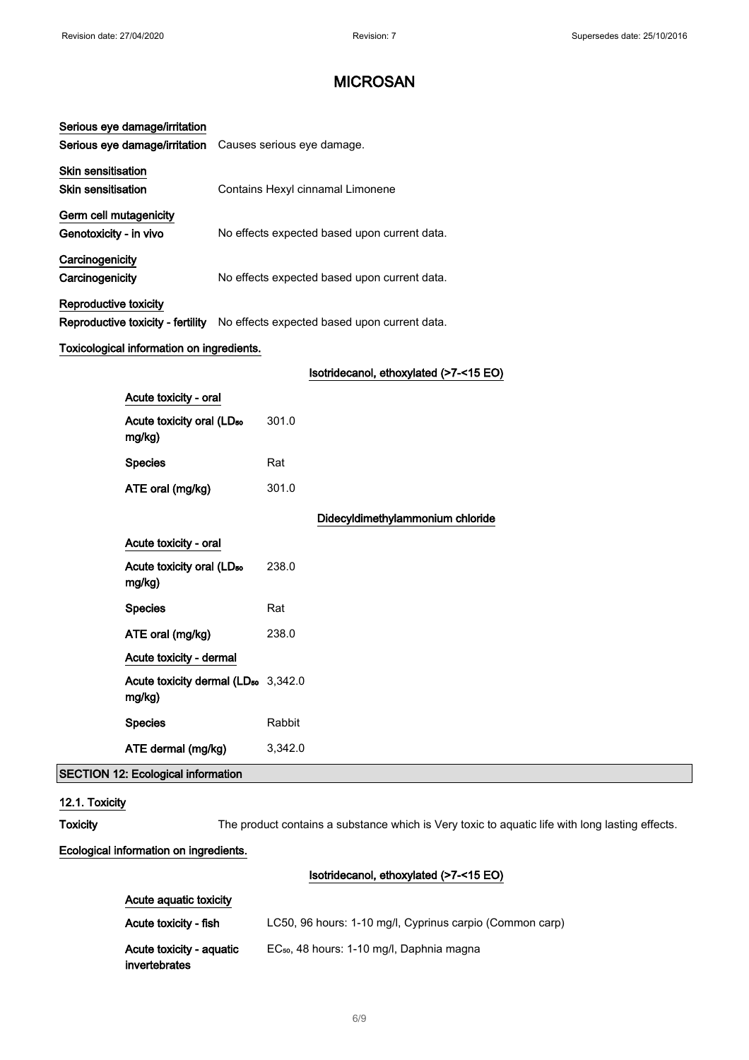| Serious eye damage/irritation                   |                                                                                |  |
|-------------------------------------------------|--------------------------------------------------------------------------------|--|
| Serious eye damage/irritation                   | Causes serious eye damage.                                                     |  |
| <b>Skin sensitisation</b>                       |                                                                                |  |
| <b>Skin sensitisation</b>                       | Contains Hexyl cinnamal Limonene                                               |  |
| Germ cell mutagenicity                          |                                                                                |  |
| Genotoxicity - in vivo                          | No effects expected based upon current data.                                   |  |
| Carcinogenicity                                 |                                                                                |  |
| Carcinogenicity                                 | No effects expected based upon current data.                                   |  |
| Reproductive toxicity                           |                                                                                |  |
|                                                 | Reproductive toxicity - fertility No effects expected based upon current data. |  |
| Toxicological information on ingredients.       |                                                                                |  |
|                                                 | Isotridecanol, ethoxylated (>7-<15 EO)                                         |  |
| Acute toxicity - oral                           |                                                                                |  |
| Acute toxicity oral (LD <sub>50</sub><br>mg/kg) | 301.0                                                                          |  |
| <b>Species</b>                                  | Rat                                                                            |  |
| ATE oral (mg/kg)                                | 301.0                                                                          |  |
|                                                 |                                                                                |  |

|                                                           |         | Didecyldimethylammonium chloride |
|-----------------------------------------------------------|---------|----------------------------------|
| Acute toxicity - oral                                     |         |                                  |
| Acute toxicity oral (LD <sub>50</sub><br>mg/kg)           | 238.0   |                                  |
| <b>Species</b>                                            | Rat     |                                  |
| ATE oral (mg/kg)                                          | 238.0   |                                  |
| Acute toxicity - dermal                                   |         |                                  |
| Acute toxicity dermal (LD <sub>50</sub> 3,342.0<br>mg/kg) |         |                                  |
| <b>Species</b>                                            | Rabbit  |                                  |
| ATE dermal (mg/kg)                                        | 3,342.0 |                                  |

# SECTION 12: Ecological information

### 12.1. Toxicity

Toxicity The product contains a substance which is Very toxic to aquatic life with long lasting effects.

### Ecological information on ingredients.

### Isotridecanol, ethoxylated (>7-<15 EO)

| Acute aguatic toxicity                    |                                                          |  |
|-------------------------------------------|----------------------------------------------------------|--|
| Acute toxicity - fish                     | LC50, 96 hours: 1-10 mg/l, Cyprinus carpio (Common carp) |  |
| Acute toxicity - aquatic<br>invertebrates | EC <sub>50</sub> , 48 hours: 1-10 mg/l, Daphnia magna    |  |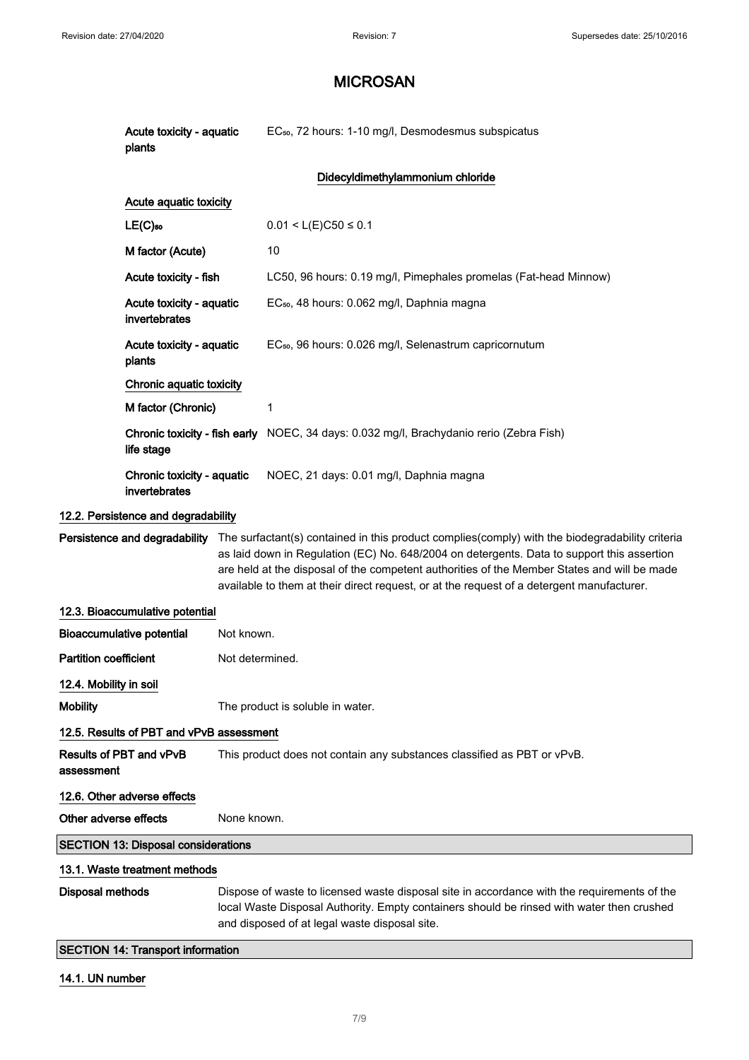|                              | Acute toxicity - aquatic<br>plants                                                                                                                                                                                                                                   |                 | EC <sub>50</sub> , 72 hours: 1-10 mg/l, Desmodesmus subspicatus                                                                                                                                                                                                                                                                                                                                                         |
|------------------------------|----------------------------------------------------------------------------------------------------------------------------------------------------------------------------------------------------------------------------------------------------------------------|-----------------|-------------------------------------------------------------------------------------------------------------------------------------------------------------------------------------------------------------------------------------------------------------------------------------------------------------------------------------------------------------------------------------------------------------------------|
|                              |                                                                                                                                                                                                                                                                      |                 | Didecyldimethylammonium chloride                                                                                                                                                                                                                                                                                                                                                                                        |
|                              | Acute aquatic toxicity                                                                                                                                                                                                                                               |                 |                                                                                                                                                                                                                                                                                                                                                                                                                         |
|                              | $LE(C)$ 50                                                                                                                                                                                                                                                           |                 | $0.01 < L(E)C50 \le 0.1$                                                                                                                                                                                                                                                                                                                                                                                                |
|                              | M factor (Acute)                                                                                                                                                                                                                                                     |                 | 10                                                                                                                                                                                                                                                                                                                                                                                                                      |
|                              | Acute toxicity - fish                                                                                                                                                                                                                                                |                 | LC50, 96 hours: 0.19 mg/l, Pimephales promelas (Fat-head Minnow)                                                                                                                                                                                                                                                                                                                                                        |
|                              | Acute toxicity - aquatic<br>invertebrates                                                                                                                                                                                                                            |                 | EC <sub>50</sub> , 48 hours: 0.062 mg/l, Daphnia magna                                                                                                                                                                                                                                                                                                                                                                  |
|                              | Acute toxicity - aquatic<br>plants                                                                                                                                                                                                                                   |                 | EC <sub>50</sub> , 96 hours: 0.026 mg/l, Selenastrum capricornutum                                                                                                                                                                                                                                                                                                                                                      |
|                              | Chronic aquatic toxicity                                                                                                                                                                                                                                             |                 |                                                                                                                                                                                                                                                                                                                                                                                                                         |
|                              | M factor (Chronic)                                                                                                                                                                                                                                                   |                 | 1                                                                                                                                                                                                                                                                                                                                                                                                                       |
|                              | life stage                                                                                                                                                                                                                                                           |                 | Chronic toxicity - fish early NOEC, 34 days: 0.032 mg/l, Brachydanio rerio (Zebra Fish)                                                                                                                                                                                                                                                                                                                                 |
|                              | Chronic toxicity - aquatic<br>invertebrates                                                                                                                                                                                                                          |                 | NOEC, 21 days: 0.01 mg/l, Daphnia magna                                                                                                                                                                                                                                                                                                                                                                                 |
|                              | 12.2. Persistence and degradability                                                                                                                                                                                                                                  |                 |                                                                                                                                                                                                                                                                                                                                                                                                                         |
|                              |                                                                                                                                                                                                                                                                      |                 | Persistence and degradability The surfactant(s) contained in this product complies(comply) with the biodegradability criteria<br>as laid down in Regulation (EC) No. 648/2004 on detergents. Data to support this assertion<br>are held at the disposal of the competent authorities of the Member States and will be made<br>available to them at their direct request, or at the request of a detergent manufacturer. |
|                              | 12.3. Bioaccumulative potential                                                                                                                                                                                                                                      |                 |                                                                                                                                                                                                                                                                                                                                                                                                                         |
|                              | <b>Bioaccumulative potential</b>                                                                                                                                                                                                                                     | Not known.      |                                                                                                                                                                                                                                                                                                                                                                                                                         |
| <b>Partition coefficient</b> |                                                                                                                                                                                                                                                                      | Not determined. |                                                                                                                                                                                                                                                                                                                                                                                                                         |
| 12.4. Mobility in soil       |                                                                                                                                                                                                                                                                      |                 |                                                                                                                                                                                                                                                                                                                                                                                                                         |
| <b>Mobility</b>              | The product is soluble in water.                                                                                                                                                                                                                                     |                 |                                                                                                                                                                                                                                                                                                                                                                                                                         |
|                              | 12.5. Results of PBT and vPvB assessment                                                                                                                                                                                                                             |                 |                                                                                                                                                                                                                                                                                                                                                                                                                         |
| assessment                   | <b>Results of PBT and vPvB</b><br>This product does not contain any substances classified as PBT or vPvB.                                                                                                                                                            |                 |                                                                                                                                                                                                                                                                                                                                                                                                                         |
|                              | 12.6. Other adverse effects                                                                                                                                                                                                                                          |                 |                                                                                                                                                                                                                                                                                                                                                                                                                         |
| Other adverse effects        | None known.                                                                                                                                                                                                                                                          |                 |                                                                                                                                                                                                                                                                                                                                                                                                                         |
|                              | <b>SECTION 13: Disposal considerations</b>                                                                                                                                                                                                                           |                 |                                                                                                                                                                                                                                                                                                                                                                                                                         |
|                              | 13.1. Waste treatment methods                                                                                                                                                                                                                                        |                 |                                                                                                                                                                                                                                                                                                                                                                                                                         |
|                              | <b>Disposal methods</b><br>Dispose of waste to licensed waste disposal site in accordance with the requirements of the<br>local Waste Disposal Authority. Empty containers should be rinsed with water then crushed<br>and disposed of at legal waste disposal site. |                 |                                                                                                                                                                                                                                                                                                                                                                                                                         |
|                              | <b>SECTION 14: Transport information</b>                                                                                                                                                                                                                             |                 |                                                                                                                                                                                                                                                                                                                                                                                                                         |

### 14.1. UN number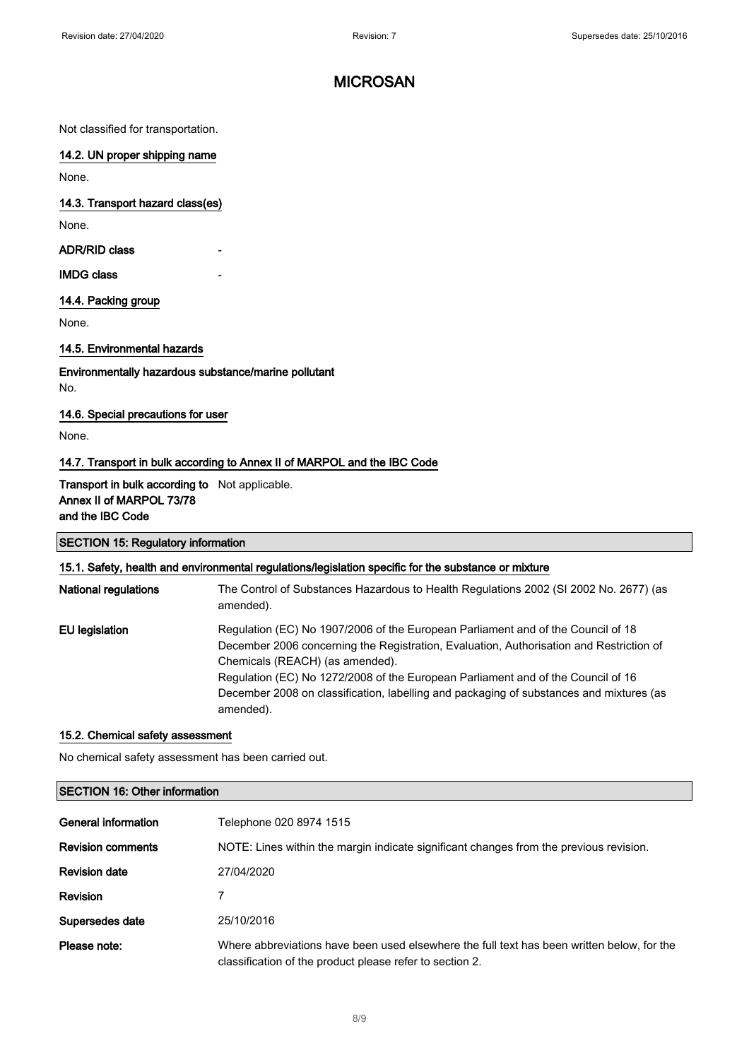Not classified for transportation.

#### 14.2. UN proper shipping name

None.

#### 14.3. Transport hazard class(es)

None.

ADR/RID class

#### **IMDG class**

#### 14.4. Packing group

None.

### 14.5. Environmental hazards

Environmentally hazardous substance/marine pollutant No.

#### 14.6. Special precautions for user

None.

### 14.7. Transport in bulk according to Annex II of MARPOL and the IBC Code

### Transport in bulk according to Not applicable. Annex II of MARPOL 73/78 and the IBC Code

### SECTION 15: Regulatory information

#### 15.1. Safety, health and environmental regulations/legislation specific for the substance or mixture

| <b>National regulations</b> | The Control of Substances Hazardous to Health Regulations 2002 (SI 2002 No. 2677) (as<br>amended).                                                                                                                                                                                                                                                                                                         |
|-----------------------------|------------------------------------------------------------------------------------------------------------------------------------------------------------------------------------------------------------------------------------------------------------------------------------------------------------------------------------------------------------------------------------------------------------|
| <b>EU</b> legislation       | Regulation (EC) No 1907/2006 of the European Parliament and of the Council of 18<br>December 2006 concerning the Registration, Evaluation, Authorisation and Restriction of<br>Chemicals (REACH) (as amended).<br>Regulation (EC) No 1272/2008 of the European Parliament and of the Council of 16<br>December 2008 on classification, labelling and packaging of substances and mixtures (as<br>amended). |

### 15.2. Chemical safety assessment

No chemical safety assessment has been carried out.

# SECTION 16: Other information General information Telephone 020 8974 1515 Revision comments NOTE: Lines within the margin indicate significant changes from the previous revision. Revision date 27/04/2020 Revision 7 Supersedes date 25/10/2016 Please note: Where abbreviations have been used elsewhere the full text has been written below, for the classification of the product please refer to section 2.